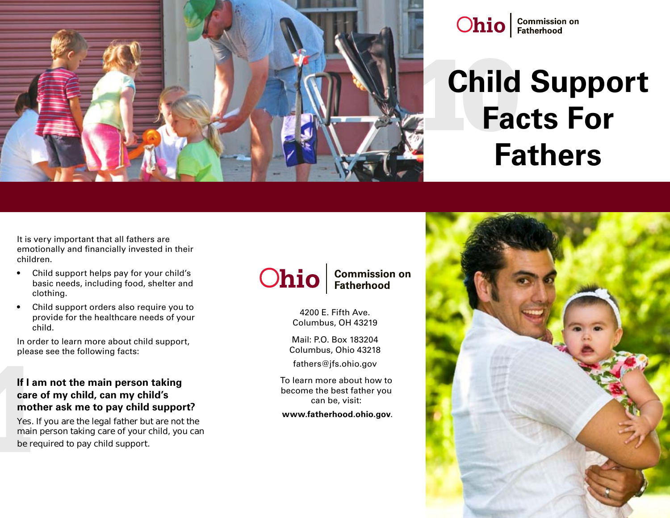

## **Ohio** Fatherhood

# **Child Support Facts For Fathers**

It is very important that all fathers are emotionally and financially invested in their children.

- Child support helps pay for your child's basic needs, including food, shelter and clothing.
- Child support orders also require you to provide for the healthcare needs of your child.

In order to learn more about child support, please see the following facts:

#### **If I am not the main person taking care of my child, can my child's mother ask me to pay child support?**

Yes. If you are the legal father but are not the main person taking care of your child, you can be required to pay child support.

### **Commission on<br>Fatherhood Ohio**

4200 E. Fifth Ave. Columbus, OH 43219

Mail: P.O. Box 183204 Columbus, Ohio 43218

fathers@jfs.ohio.gov

To learn more about how to become the best father you can be, visit:

**www.fatherhood.ohio.gov**.